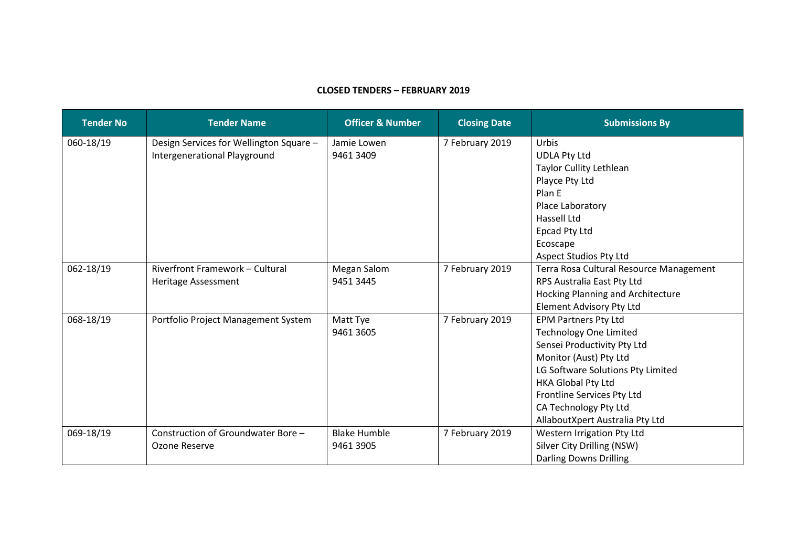## **CLOSED TENDERS – FEBRUARY 2019**

| <b>Tender No</b> | <b>Tender Name</b>                                                      | <b>Officer &amp; Number</b>      | <b>Closing Date</b> | <b>Submissions By</b>                                                                                                                                                                                                                                                      |
|------------------|-------------------------------------------------------------------------|----------------------------------|---------------------|----------------------------------------------------------------------------------------------------------------------------------------------------------------------------------------------------------------------------------------------------------------------------|
| 060-18/19        | Design Services for Wellington Square -<br>Intergenerational Playground | Jamie Lowen<br>9461 3409         | 7 February 2019     | Urbis<br><b>UDLA Pty Ltd</b><br>Taylor Cullity Lethlean<br>Playce Pty Ltd<br>Plan E<br>Place Laboratory<br><b>Hassell Ltd</b><br>Epcad Pty Ltd<br>Ecoscape<br><b>Aspect Studios Pty Ltd</b>                                                                                |
| 062-18/19        | <b>Riverfront Framework - Cultural</b><br><b>Heritage Assessment</b>    | Megan Salom<br>9451 3445         | 7 February 2019     | Terra Rosa Cultural Resource Management<br>RPS Australia East Pty Ltd<br>Hocking Planning and Architecture<br><b>Element Advisory Pty Ltd</b>                                                                                                                              |
| 068-18/19        | Portfolio Project Management System                                     | Matt Tye<br>9461 3605            | 7 February 2019     | <b>EPM Partners Pty Ltd</b><br><b>Technology One Limited</b><br>Sensei Productivity Pty Ltd<br>Monitor (Aust) Pty Ltd<br>LG Software Solutions Pty Limited<br>HKA Global Pty Ltd<br>Frontline Services Pty Ltd<br>CA Technology Pty Ltd<br>AllaboutXpert Australia Pty Ltd |
| 069-18/19        | Construction of Groundwater Bore -<br>Ozone Reserve                     | <b>Blake Humble</b><br>9461 3905 | 7 February 2019     | Western Irrigation Pty Ltd<br>Silver City Drilling (NSW)<br><b>Darling Downs Drilling</b>                                                                                                                                                                                  |